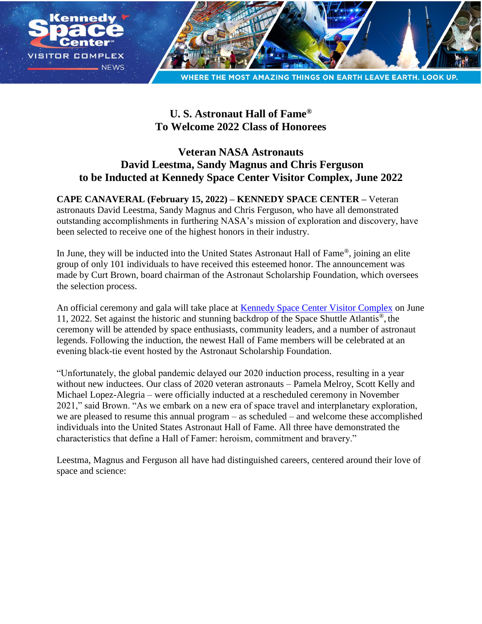

# **U. S. Astronaut Hall of Fame® To Welcome 2022 Class of Honorees**

## **Veteran NASA Astronauts David Leestma, Sandy Magnus and Chris Ferguson to be Inducted at Kennedy Space Center Visitor Complex, June 2022**

## **CAPE CANAVERAL (February 15, 2022) – KENNEDY SPACE CENTER –** Veteran astronauts David Leestma, Sandy Magnus and Chris Ferguson, who have all demonstrated outstanding accomplishments in furthering NASA's mission of exploration and discovery, have been selected to receive one of the highest honors in their industry.

In June, they will be inducted into the United States Astronaut Hall of Fame®, joining an elite group of only 101 individuals to have received this esteemed honor. The announcement was made by Curt Brown, board chairman of the Astronaut Scholarship Foundation, which oversees the selection process.

An official ceremony and gala will take place at [Kennedy Space Center Visitor Complex](https://www.kennedyspacecenter.com/) on June 11, 2022. Set against the historic and stunning backdrop of the Space Shuttle Atlantis<sup>®</sup>, the ceremony will be attended by space enthusiasts, community leaders, and a number of astronaut legends. Following the induction, the newest Hall of Fame members will be celebrated at an evening black-tie event hosted by the Astronaut Scholarship Foundation.

"Unfortunately, the global pandemic delayed our 2020 induction process, resulting in a year without new inductees. Our class of 2020 veteran astronauts – Pamela Melroy, Scott Kelly and Michael Lopez-Alegria – were officially inducted at a rescheduled ceremony in November 2021," said Brown. "As we embark on a new era of space travel and interplanetary exploration, we are pleased to resume this annual program – as scheduled – and welcome these accomplished individuals into the United States Astronaut Hall of Fame. All three have demonstrated the characteristics that define a Hall of Famer: heroism, commitment and bravery."

Leestma, Magnus and Ferguson all have had distinguished careers, centered around their love of space and science: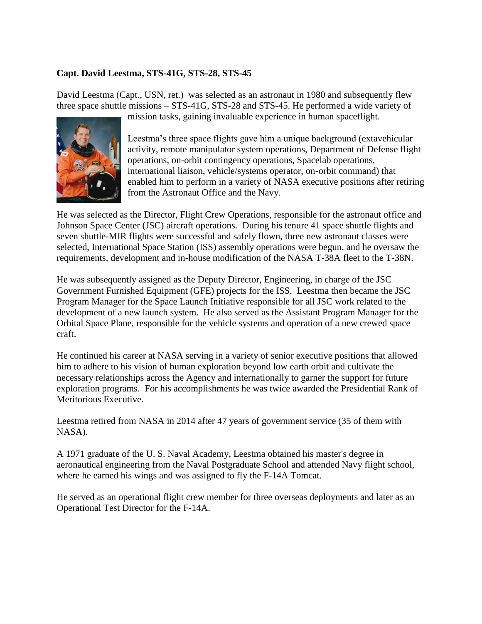## **Capt. David Leestma, STS-41G, STS-28, STS-45**

David Leestma (Capt., USN, ret.) was selected as an astronaut in 1980 and subsequently flew three space shuttle missions – STS-41G, STS-28 and STS-45. He performed a wide variety of



mission tasks, gaining invaluable experience in human spaceflight.

Leestma's three space flights gave him a unique background (extavehicular activity, remote manipulator system operations, Department of Defense flight operations, on-orbit contingency operations, Spacelab operations, international liaison, vehicle/systems operator, on-orbit command) that enabled him to perform in a variety of NASA executive positions after retiring from the Astronaut Office and the Navy.

He was selected as the Director, Flight Crew Operations, responsible for the astronaut office and Johnson Space Center (JSC) aircraft operations. During his tenure 41 space shuttle flights and seven shuttle-MIR flights were successful and safely flown, three new astronaut classes were selected, International Space Station (ISS) assembly operations were begun, and he oversaw the requirements, development and in-house modification of the NASA T-38A fleet to the T-38N.

He was subsequently assigned as the Deputy Director, Engineering, in charge of the JSC Government Furnished Equipment (GFE) projects for the ISS. Leestma then became the JSC Program Manager for the Space Launch Initiative responsible for all JSC work related to the development of a new launch system. He also served as the Assistant Program Manager for the Orbital Space Plane, responsible for the vehicle systems and operation of a new crewed space craft.

He continued his career at NASA serving in a variety of senior executive positions that allowed him to adhere to his vision of human exploration beyond low earth orbit and cultivate the necessary relationships across the Agency and internationally to garner the support for future exploration programs. For his accomplishments he was twice awarded the Presidential Rank of Meritorious Executive.

Leestma retired from NASA in 2014 after 47 years of government service (35 of them with NASA).

A 1971 graduate of the U. S. Naval Academy, Leestma obtained his master's degree in aeronautical engineering from the Naval Postgraduate School and attended Navy flight school, where he earned his wings and was assigned to fly the F-14A Tomcat.

He served as an operational flight crew member for three overseas deployments and later as an Operational Test Director for the F-14A.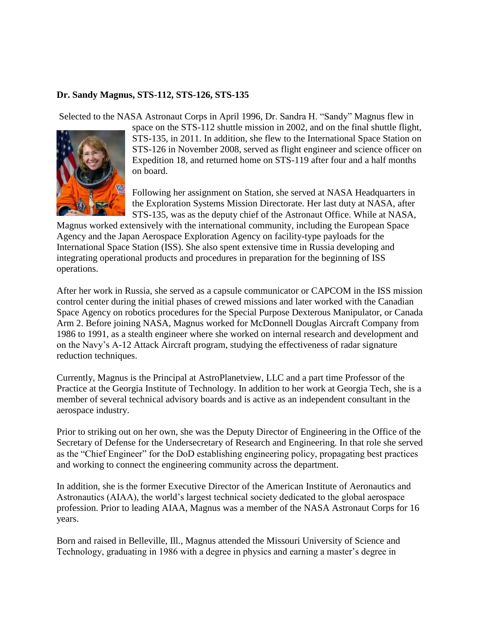#### **Dr. Sandy Magnus, STS-112, STS-126, STS-135**

Selected to the NASA Astronaut Corps in April 1996, Dr. Sandra H. "Sandy" Magnus flew in



space on the STS-112 shuttle mission in 2002, and on the final shuttle flight, STS-135, in 2011. In addition, she flew to the International Space Station on STS-126 in November 2008, served as flight engineer and science officer on Expedition 18, and returned home on STS-119 after four and a half months on board.

Following her assignment on Station, she served at NASA Headquarters in the Exploration Systems Mission Directorate. Her last duty at NASA, after STS-135, was as the deputy chief of the Astronaut Office. While at NASA,

Magnus worked extensively with the international community, including the European Space Agency and the Japan Aerospace Exploration Agency on facility-type payloads for the International Space Station (ISS). She also spent extensive time in Russia developing and integrating operational products and procedures in preparation for the beginning of ISS operations.

After her work in Russia, she served as a capsule communicator or CAPCOM in the ISS mission control center during the initial phases of crewed missions and later worked with the Canadian Space Agency on robotics procedures for the Special Purpose Dexterous Manipulator, or Canada Arm 2. Before joining NASA, Magnus worked for McDonnell Douglas Aircraft Company from 1986 to 1991, as a stealth engineer where she worked on internal research and development and on the Navy's A-12 Attack Aircraft program, studying the effectiveness of radar signature reduction techniques.

Currently, Magnus is the Principal at AstroPlanetview, LLC and a part time Professor of the Practice at the Georgia Institute of Technology. In addition to her work at Georgia Tech, she is a member of several technical advisory boards and is active as an independent consultant in the aerospace industry.

Prior to striking out on her own, she was the Deputy Director of Engineering in the Office of the Secretary of Defense for the Undersecretary of Research and Engineering. In that role she served as the "Chief Engineer" for the DoD establishing engineering policy, propagating best practices and working to connect the engineering community across the department.

In addition, she is the former Executive Director of the American Institute of Aeronautics and Astronautics (AIAA), the world's largest technical society dedicated to the global aerospace profession. Prior to leading AIAA, Magnus was a member of the NASA Astronaut Corps for 16 years.

Born and raised in Belleville, Ill., Magnus attended the Missouri University of Science and Technology, graduating in 1986 with a degree in physics and earning a master's degree in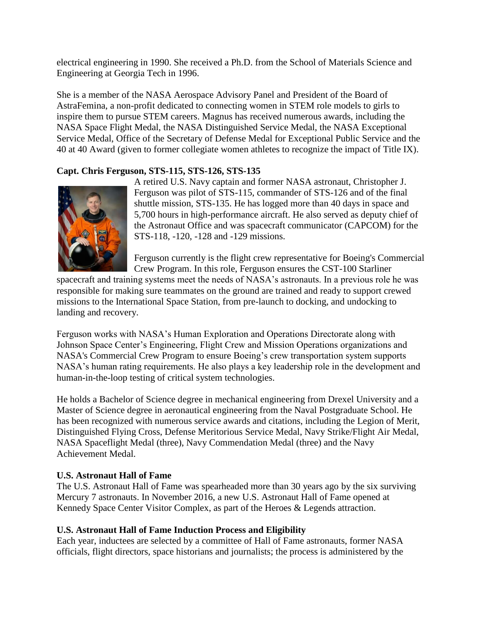electrical engineering in 1990. She received a Ph.D. from the School of Materials Science and Engineering at Georgia Tech in 1996.

She is a member of the NASA Aerospace Advisory Panel and President of the Board of AstraFemina, a non-profit dedicated to connecting women in STEM role models to girls to inspire them to pursue STEM careers. Magnus has received numerous awards, including the NASA Space Flight Medal, the NASA Distinguished Service Medal, the NASA Exceptional Service Medal, Office of the Secretary of Defense Medal for Exceptional Public Service and the 40 at 40 Award (given to former collegiate women athletes to recognize the impact of Title IX).

## **Capt. Chris Ferguson, STS-115, STS-126, STS-135**



A retired U.S. Navy captain and former NASA astronaut, Christopher J. Ferguson was pilot of STS-115, commander of STS-126 and of the final shuttle mission, STS-135. He has logged more than 40 days in space and 5,700 hours in high-performance aircraft. He also served as deputy chief of the Astronaut Office and was spacecraft communicator (CAPCOM) for the STS-118, -120, -128 and -129 missions.

Ferguson currently is the flight crew representative for Boeing's Commercial Crew Program. In this role, Ferguson ensures the CST-100 Starliner

spacecraft and training systems meet the needs of NASA's astronauts. In a previous role he was responsible for making sure teammates on the ground are trained and ready to support crewed missions to the International Space Station, from pre-launch to docking, and undocking to landing and recovery.

Ferguson works with NASA's Human Exploration and Operations Directorate along with Johnson Space Center's Engineering, Flight Crew and Mission Operations organizations and NASA's Commercial Crew Program to ensure Boeing's crew transportation system supports NASA's human rating requirements. He also plays a key leadership role in the development and human-in-the-loop testing of critical system technologies.

He holds a Bachelor of Science degree in mechanical engineering from Drexel University and a Master of Science degree in aeronautical engineering from the Naval Postgraduate School. He has been recognized with numerous service awards and citations, including the Legion of Merit, Distinguished Flying Cross, Defense Meritorious Service Medal, Navy Strike/Flight Air Medal, NASA Spaceflight Medal (three), Navy Commendation Medal (three) and the Navy Achievement Medal.

## **U.S. Astronaut Hall of Fame**

The U.S. Astronaut Hall of Fame was spearheaded more than 30 years ago by the six surviving Mercury 7 astronauts. In November 2016, a new U.S. Astronaut Hall of Fame opened at Kennedy Space Center Visitor Complex, as part of the Heroes & Legends attraction.

## **U.S. Astronaut Hall of Fame Induction Process and Eligibility**

Each year, inductees are selected by a committee of Hall of Fame astronauts, former NASA officials, flight directors, space historians and journalists; the process is administered by the